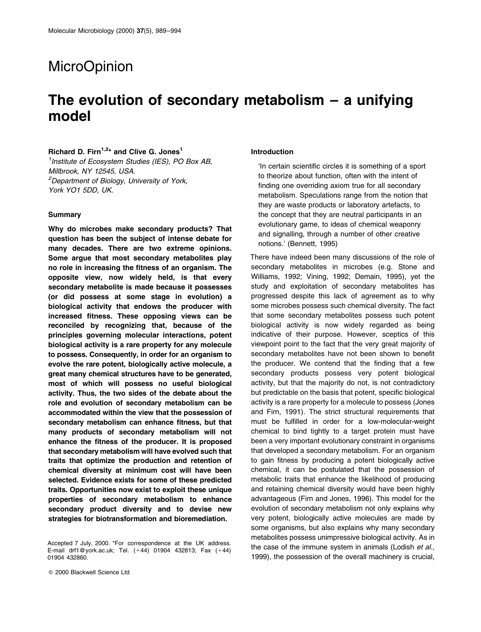# **MicroOpinion**

# The evolution of secondary metabolism  $-$  a unifying model

# Richard D. Firn<sup>1,2\*</sup> and Clive G. Jones<sup>1</sup>

<sup>1</sup> Institute of Ecosystem Studies (IES), PO Box AB, Millbrook, NY 12545, USA. <sup>2</sup>Department of Biology, University of York, York YO1 5DD, UK.

#### **Summary**

Why do microbes make secondary products? That question has been the subject of intense debate for many decades. There are two extreme opinions. Some argue that most secondary metabolites play no role in increasing the fitness of an organism. The opposite view, now widely held, is that every secondary metabolite is made because it possesses (or did possess at some stage in evolution) a biological activity that endows the producer with increased fitness. These opposing views can be reconciled by recognizing that, because of the principles governing molecular interactions, potent biological activity is a rare property for any molecule to possess. Consequently, in order for an organism to evolve the rare potent, biologically active molecule, a great many chemical structures have to be generated, most of which will possess no useful biological activity. Thus, the two sides of the debate about the role and evolution of secondary metabolism can be accommodated within the view that the possession of secondary metabolism can enhance fitness, but that many products of secondary metabolism will not enhance the fitness of the producer. It is proposed that secondary metabolism will have evolved such that traits that optimize the production and retention of chemical diversity at minimum cost will have been selected. Evidence exists for some of these predicted traits. Opportunities now exist to exploit these unique properties of secondary metabolism to enhance secondary product diversity and to devise new strategies for biotransformation and bioremediation.

#### Introduction

`In certain scientific circles it is something of a sport to theorize about function, often with the intent of finding one overriding axiom true for all secondary metabolism. Speculations range from the notion that they are waste products or laboratory artefacts, to the concept that they are neutral participants in an evolutionary game, to ideas of chemical weaponry and signalling, through a number of other creative notions.' (Bennett, 1995)

There have indeed been many discussions of the role of secondary metabolites in microbes (e.g. Stone and Williams, 1992; Vining, 1992; Demain, 1995), yet the study and exploitation of secondary metabolites has progressed despite this lack of agreement as to why some microbes possess such chemical diversity. The fact that some secondary metabolites possess such potent biological activity is now widely regarded as being indicative of their purpose. However, sceptics of this viewpoint point to the fact that the very great majority of secondary metabolites have not been shown to benefit the producer. We contend that the finding that a few secondary products possess very potent biological activity, but that the majority do not, is not contradictory but predictable on the basis that potent, specific biological activity is a rare property for a molecule to possess (Jones and Firn, 1991). The strict structural requirements that must be fulfilled in order for a low-molecular-weight chemical to bind tightly to a target protein must have been a very important evolutionary constraint in organisms that developed a secondary metabolism. For an organism to gain fitness by producing a potent biologically active chemical, it can be postulated that the possession of metabolic traits that enhance the likelihood of producing and retaining chemical diversity would have been highly advantageous (Firn and Jones, 1996). This model for the evolution of secondary metabolism not only explains why very potent, biologically active molecules are made by some organisms, but also explains why many secondary metabolites possess unimpressive biological activity. As in the case of the immune system in animals (Lodish et al., 1999), the possession of the overall machinery is crucial,

Accepted 7 July, 2000. \*For correspondence at the UK address. E-mail drf1@york.ac.uk; Tel.  $(+44)$  01904 432813; Fax  $(+44)$ 01904 432860.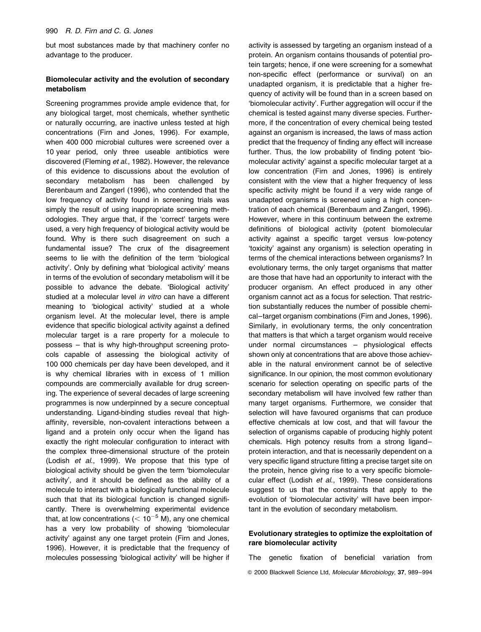but most substances made by that machinery confer no advantage to the producer.

## Biomolecular activity and the evolution of secondary metabolism

Screening programmes provide ample evidence that, for any biological target, most chemicals, whether synthetic or naturally occurring, are inactive unless tested at high concentrations (Firn and Jones, 1996). For example, when 400 000 microbial cultures were screened over a 10 year period, only three useable antibiotics were discovered (Fleming et al., 1982). However, the relevance of this evidence to discussions about the evolution of secondary metabolism has been challenged by Berenbaum and Zangerl (1996), who contended that the low frequency of activity found in screening trials was simply the result of using inappropriate screening methodologies. They argue that, if the `correct' targets were used, a very high frequency of biological activity would be found. Why is there such disagreement on such a fundamental issue? The crux of the disagreement seems to lie with the definition of the term 'biological activity'. Only by defining what 'biological activity' means in terms of the evolution of secondary metabolism will it be possible to advance the debate. 'Biological activity' studied at a molecular level in vitro can have a different meaning to 'biological activity' studied at a whole organism level. At the molecular level, there is ample evidence that specific biological activity against a defined molecular target is a rare property for a molecule to  $possess - that$  is why high-throughput screening protocols capable of assessing the biological activity of 100 000 chemicals per day have been developed, and it is why chemical libraries with in excess of 1 million compounds are commercially available for drug screening. The experience of several decades of large screening programmes is now underpinned by a secure conceptual understanding. Ligand-binding studies reveal that highaffinity, reversible, non-covalent interactions between a ligand and a protein only occur when the ligand has exactly the right molecular configuration to interact with the complex three-dimensional structure of the protein (Lodish et al., 1999). We propose that this type of biological activity should be given the term 'biomolecular activity', and it should be defined as the ability of a molecule to interact with a biologically functional molecule such that that its biological function is changed significantly. There is overwhelming experimental evidence that, at low concentrations ( $< 10^{-5}$  M), any one chemical has a very low probability of showing 'biomolecular activity' against any one target protein (Firn and Jones, 1996). However, it is predictable that the frequency of molecules possessing 'biological activity' will be higher if activity is assessed by targeting an organism instead of a protein. An organism contains thousands of potential protein targets; hence, if one were screening for a somewhat non-specific effect (performance or survival) on an unadapted organism, it is predictable that a higher frequency of activity will be found than in a screen based on `biomolecular activity'. Further aggregation will occur if the chemical is tested against many diverse species. Furthermore, if the concentration of every chemical being tested against an organism is increased, the laws of mass action predict that the frequency of finding any effect will increase further. Thus, the low probability of finding potent 'biomolecular activity' against a specific molecular target at a low concentration (Firn and Jones, 1996) is entirely consistent with the view that a higher frequency of less specific activity might be found if a very wide range of unadapted organisms is screened using a high concentration of each chemical (Berenbaum and Zangerl, 1996). However, where in this continuum between the extreme definitions of biological activity (potent biomolecular activity against a specific target versus low-potency `toxicity' against any organism) is selection operating in terms of the chemical interactions between organisms? In evolutionary terms, the only target organisms that matter are those that have had an opportunity to interact with the producer organism. An effect produced in any other organism cannot act as a focus for selection. That restriction substantially reduces the number of possible chemical-target organism combinations (Firn and Jones, 1996). Similarly, in evolutionary terms, the only concentration that matters is that which a target organism would receive under normal circumstances  $-$  physiological effects shown only at concentrations that are above those achievable in the natural environment cannot be of selective significance. In our opinion, the most common evolutionary scenario for selection operating on specific parts of the secondary metabolism will have involved few rather than many target organisms. Furthermore, we consider that selection will have favoured organisms that can produce effective chemicals at low cost, and that will favour the selection of organisms capable of producing highly potent chemicals. High potency results from a strong ligandprotein interaction, and that is necessarily dependent on a very specific ligand structure fitting a precise target site on the protein, hence giving rise to a very specific biomolecular effect (Lodish et al., 1999). These considerations suggest to us that the constraints that apply to the evolution of 'biomolecular activity' will have been important in the evolution of secondary metabolism.

# Evolutionary strategies to optimize the exploitation of rare biomolecular activity

The genetic fixation of beneficial variation from © 2000 Blackwell Science Ltd, Molecular Microbiology, 37, 989-994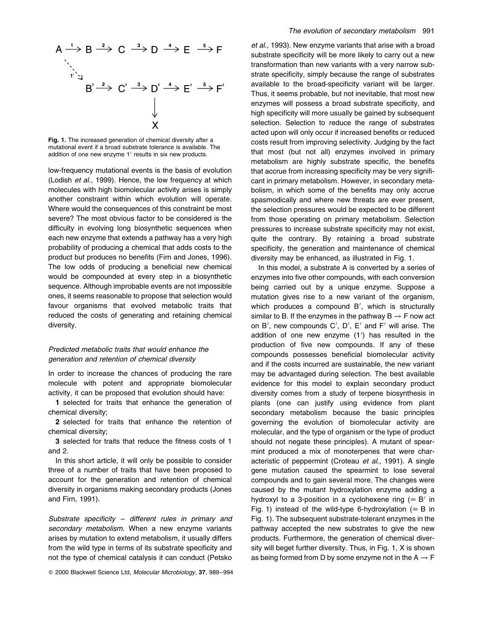

Fig. 1. The increased generation of chemical diversity after a mutational event if a broad substrate tolerance is available. The addition of one new enzyme  $1'$  results in six new products.

low-frequency mutational events is the basis of evolution (Lodish et al., 1999). Hence, the low frequency at which molecules with high biomolecular activity arises is simply another constraint within which evolution will operate. Where would the consequences of this constraint be most severe? The most obvious factor to be considered is the difficulty in evolving long biosynthetic sequences when each new enzyme that extends a pathway has a very high probability of producing a chemical that adds costs to the product but produces no benefits (Firn and Jones, 1996). The low odds of producing a beneficial new chemical would be compounded at every step in a biosynthetic sequence. Although improbable events are not impossible ones, it seems reasonable to propose that selection would favour organisms that evolved metabolic traits that reduced the costs of generating and retaining chemical diversity.

# Predicted metabolic traits that would enhance the generation and retention of chemical diversity

In order to increase the chances of producing the rare molecule with potent and appropriate biomolecular activity, it can be proposed that evolution should have:

1 selected for traits that enhance the generation of chemical diversity;

2 selected for traits that enhance the retention of chemical diversity;

3 selected for traits that reduce the fitness costs of 1 and 2.

In this short article, it will only be possible to consider three of a number of traits that have been proposed to account for the generation and retention of chemical diversity in organisms making secondary products (Jones and Firn, 1991).

Substrate specificity  $-$  different rules in primary and secondary metabolism. When a new enzyme variants arises by mutation to extend metabolism, it usually differs from the wild type in terms of its substrate specificity and not the type of chemical catalysis it can conduct (Petsko

et al., 1993). New enzyme variants that arise with a broad substrate specificity will be more likely to carry out a new transformation than new variants with a very narrow substrate specificity, simply because the range of substrates available to the broad-specificity variant will be larger. Thus, it seems probable, but not inevitable, that most new enzymes will possess a broad substrate specificity, and high specificity will more usually be gained by subsequent selection. Selection to reduce the range of substrates acted upon will only occur if increased benefits or reduced costs result from improving selectivity. Judging by the fact that most (but not all) enzymes involved in primary metabolism are highly substrate specific, the benefits that accrue from increasing specificity may be very significant in primary metabolism. However, in secondary metabolism, in which some of the benefits may only accrue spasmodically and where new threats are ever present, the selection pressures would be expected to be different from those operating on primary metabolism. Selection pressures to increase substrate specificity may not exist, quite the contrary. By retaining a broad substrate specificity, the generation and maintenance of chemical diversity may be enhanced, as illustrated in Fig. 1.

In this model, a substrate A is converted by a series of enzymes into five other compounds, with each conversion being carried out by a unique enzyme. Suppose a mutation gives rise to a new variant of the organism, which produces a compound  $B'$ , which is structurally similar to B. If the enzymes in the pathway  $B \rightarrow F$  now act on B', new compounds C', D', E' and F' will arise. The addition of one new enzyme (1') has resulted in the production of five new compounds. If any of these compounds possesses beneficial biomolecular activity and if the costs incurred are sustainable, the new variant may be advantaged during selection. The best available evidence for this model to explain secondary product diversity comes from a study of terpene biosynthesis in plants (one can justify using evidence from plant secondary metabolism because the basic principles governing the evolution of biomolecular activity are molecular, and the type of organism or the type of product should not negate these principles). A mutant of spearmint produced a mix of monoterpenes that were characteristic of peppermint (Croteau et al., 1991). A single gene mutation caused the spearmint to lose several compounds and to gain several more. The changes were caused by the mutant hydroxylation enzyme adding a hydroxyl to a 3-position in a cyclohexene ring ( $\equiv$  B' in Fig. 1) instead of the wild-type 6-hydroxylation ( $\equiv$  B in Fig. 1). The subsequent substrate-tolerant enzymes in the pathway accepted the new substrates to give the new products. Furthermore, the generation of chemical diversity will beget further diversity. Thus, in Fig. 1, X is shown as being formed from D by some enzyme not in the  $A \rightarrow F$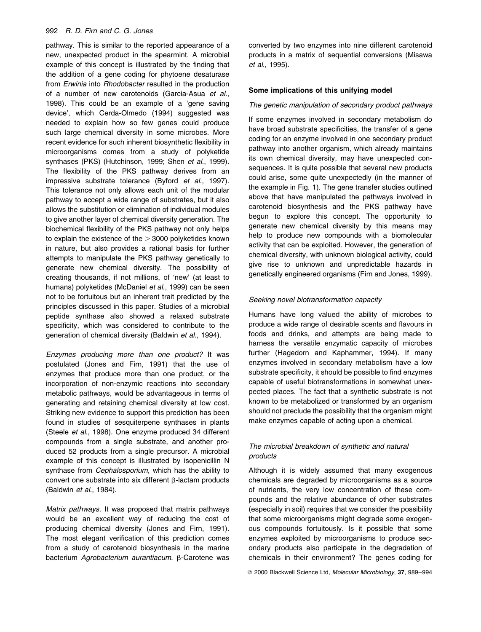### 992 R. D. Firn and C. G. Jones

pathway. This is similar to the reported appearance of a new, unexpected product in the spearmint. A microbial example of this concept is illustrated by the finding that the addition of a gene coding for phytoene desaturase from Erwinia into Rhodobacter resulted in the production of a number of new carotenoids (Garcia-Asua et al., 1998). This could be an example of a 'gene saving device', which Cerda-Olmedo (1994) suggested was needed to explain how so few genes could produce such large chemical diversity in some microbes. More recent evidence for such inherent biosynthetic flexibility in microorganisms comes from a study of polyketide synthases (PKS) (Hutchinson, 1999; Shen et al., 1999). The flexibility of the PKS pathway derives from an impressive substrate tolerance (Byford et al., 1997). This tolerance not only allows each unit of the modular pathway to accept a wide range of substrates, but it also allows the substitution or elimination of individual modules to give another layer of chemical diversity generation. The biochemical flexibility of the PKS pathway not only helps to explain the existence of the  $>$  3000 polyketides known in nature, but also provides a rational basis for further attempts to manipulate the PKS pathway genetically to generate new chemical diversity. The possibility of creating thousands, if not millions, of `new' (at least to humans) polyketides (McDaniel et al., 1999) can be seen not to be fortuitous but an inherent trait predicted by the principles discussed in this paper. Studies of a microbial peptide synthase also showed a relaxed substrate specificity, which was considered to contribute to the generation of chemical diversity (Baldwin et al., 1994).

Enzymes producing more than one product? It was postulated (Jones and Firn, 1991) that the use of enzymes that produce more than one product, or the incorporation of non-enzymic reactions into secondary metabolic pathways, would be advantageous in terms of generating and retaining chemical diversity at low cost. Striking new evidence to support this prediction has been found in studies of sesquiterpene synthases in plants (Steele et al., 1998). One enzyme produced 34 different compounds from a single substrate, and another produced 52 products from a single precursor. A microbial example of this concept is illustrated by isopenicillin N synthase from Cephalosporium, which has the ability to convert one substrate into six different  $\beta$ -lactam products (Baldwin et al., 1984).

Matrix pathways. It was proposed that matrix pathways would be an excellent way of reducing the cost of producing chemical diversity (Jones and Firn, 1991). The most elegant verification of this prediction comes from a study of carotenoid biosynthesis in the marine bacterium Agrobacterium aurantiacum. B-Carotene was

converted by two enzymes into nine different carotenoid products in a matrix of sequential conversions (Misawa et al., 1995).

### Some implications of this unifying model

#### The genetic manipulation of secondary product pathways

If some enzymes involved in secondary metabolism do have broad substrate specificities, the transfer of a gene coding for an enzyme involved in one secondary product pathway into another organism, which already maintains its own chemical diversity, may have unexpected consequences. It is quite possible that several new products could arise, some quite unexpectedly (in the manner of the example in Fig. 1). The gene transfer studies outlined above that have manipulated the pathways involved in carotenoid biosynthesis and the PKS pathway have begun to explore this concept. The opportunity to generate new chemical diversity by this means may help to produce new compounds with a biomolecular activity that can be exploited. However, the generation of chemical diversity, with unknown biological activity, could give rise to unknown and unpredictable hazards in genetically engineered organisms (Firn and Jones, 1999).

#### Seeking novel biotransformation capacity

Humans have long valued the ability of microbes to produce a wide range of desirable scents and flavours in foods and drinks, and attempts are being made to harness the versatile enzymatic capacity of microbes further (Hagedorn and Kaphammer, 1994). If many enzymes involved in secondary metabolism have a low substrate specificity, it should be possible to find enzymes capable of useful biotransformations in somewhat unexpected places. The fact that a synthetic substrate is not known to be metabolized or transformed by an organism should not preclude the possibility that the organism might make enzymes capable of acting upon a chemical.

# The microbial breakdown of synthetic and natural products

Although it is widely assumed that many exogenous chemicals are degraded by microorganisms as a source of nutrients, the very low concentration of these compounds and the relative abundance of other substrates (especially in soil) requires that we consider the possibility that some microorganisms might degrade some exogenous compounds fortuitously. Is it possible that some enzymes exploited by microorganisms to produce secondary products also participate in the degradation of chemicals in their environment? The genes coding for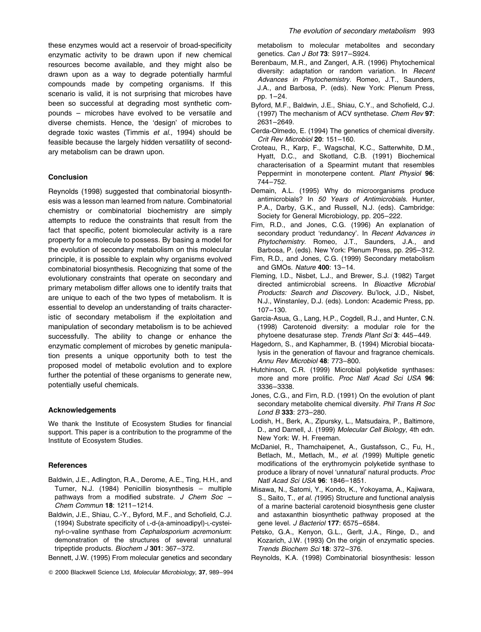these enzymes would act a reservoir of broad-specificity enzymatic activity to be drawn upon if new chemical resources become available, and they might also be drawn upon as a way to degrade potentially harmful compounds made by competing organisms. If this scenario is valid, it is not surprising that microbes have been so successful at degrading most synthetic compounds - microbes have evolved to be versatile and diverse chemists. Hence, the `design' of microbes to degrade toxic wastes (Timmis et al., 1994) should be feasible because the largely hidden versatility of secondary metabolism can be drawn upon.

### Conclusion

Reynolds (1998) suggested that combinatorial biosynthesis was a lesson man learned from nature. Combinatorial chemistry or combinatorial biochemistry are simply attempts to reduce the constraints that result from the fact that specific, potent biomolecular activity is a rare property for a molecule to possess. By basing a model for the evolution of secondary metabolism on this molecular principle, it is possible to explain why organisms evolved combinatorial biosynthesis. Recognizing that some of the evolutionary constraints that operate on secondary and primary metabolism differ allows one to identify traits that are unique to each of the two types of metabolism. It is essential to develop an understanding of traits characteristic of secondary metabolism if the exploitation and manipulation of secondary metabolism is to be achieved successfully. The ability to change or enhance the enzymatic complement of microbes by genetic manipulation presents a unique opportunity both to test the proposed model of metabolic evolution and to explore further the potential of these organisms to generate new, potentially useful chemicals.

#### Acknowledgements

We thank the Institute of Ecosystem Studies for financial support. This paper is a contribution to the programme of the Institute of Ecosystem Studies.

#### **References**

- Baldwin, J.E., Adlington, R.A., Derome, A.E., Ting, H.H., and Turner, N.J. (1984) Penicillin biosynthesis - multiple pathways from a modified substrate.  $J$  Chem Soc  $-$ Chem Commun 18: 1211-1214.
- Baldwin, J.E., Shiau, C.-Y., Byford, M.F., and Schofield, C.J. (1994) Substrate specificity of L-d-(a-aminoadipyl)-L-cysteinyl-D-valine synthase from Cephalosporium acremonium: demonstration of the structures of several unnatural tripeptide products. Biochem  $J$  301: 367-372.

Bennett, J.W. (1995) From molecular genetics and secondary

metabolism to molecular metabolites and secondary genetics. Can J Bot 73: S917-S924.

- Berenbaum, M.R., and Zangerl, A.R. (1996) Phytochemical diversity: adaptation or random variation. In Recent Advances in Phytochemistry. Romeo, J.T., Saunders, J.A., and Barbosa, P. (eds). New York: Plenum Press, pp. 1-24.
- Byford, M.F., Baldwin, J.E., Shiau, C.Y., and Schofield, C.J. (1997) The mechanism of ACV synthetase. Chem Rev 97: 2631±2649.
- Cerda-Olmedo, E. (1994) The genetics of chemical diversity. Crit Rev Microbiol 20: 151-160.
- Croteau, R., Karp, F., Wagschal, K.C., Satterwhite, D.M., Hyatt, D.C., and Skotland, C.B. (1991) Biochemical characterisation of a Spearmint mutant that resembles Peppermint in monoterpene content. Plant Physiol 96: 744±752.
- Demain, A.L. (1995) Why do microorganisms produce antimicrobials? In 50 Years of Antimicrobials. Hunter, P.A., Darby, G.K., and Russell, N.J. (eds). Cambridge: Society for General Microbiology, pp. 205-222.
- Firn, R.D., and Jones, C.G. (1996) An explanation of secondary product 'redundancy'. In Recent Advances in Phytochemistry. Romeo, J.T., Saunders, J.A., and Barbosa, P. (eds). New York: Plenum Press, pp. 295-312.
- Firn, R.D., and Jones, C.G. (1999) Secondary metabolism and GMOs. Nature 400: 13-14.
- Fleming, I.D., Nisbet, L.J., and Brewer, S.J. (1982) Target directed antimicrobial screens. In Bioactive Microbial Products: Search and Discovery. Bu'lock, J.D., Nisbet, N.J., Winstanley, D.J. (eds). London: Academic Press, pp. 107±130.
- Garcia-Asua, G., Lang, H.P., Cogdell, R.J., and Hunter, C.N. (1998) Carotenoid diversity: a modular role for the phytoene desaturase step. Trends Plant Sci 3: 445-449.
- Hagedorn, S., and Kaphammer, B. (1994) Microbial biocatalysis in the generation of flavour and fragrance chemicals. Annu Rev Microbiol 48: 773-800.
- Hutchinson, C.R. (1999) Microbial polyketide synthases: more and more prolific. Proc Natl Acad Sci USA 96: 3336±3338.
- Jones, C.G., and Firn, R.D. (1991) On the evolution of plant secondary metabolite chemical diversity. Phil Trans R Soc Lond B 333: 273-280.
- Lodish, H., Berk, A., Zipursky, L., Matsudaira, P., Baltimore, D., and Darnell, J. (1999) Molecular Cell Biology, 4th edn. New York: W. H. Freeman.
- McDaniel, R., Thamchaipenet, A., Gustafsson, C., Fu, H., Betlach, M., Metlach, M., et al. (1999) Multiple genetic modifications of the erythromycin polyketide synthase to produce a library of novel 'unnatural' natural products. Proc Natl Acad Sci USA 96: 1846-1851.
- Misawa, N., Satomi, Y., Kondo, K., Yokoyama, A., Kajiwara, S., Saito, T., et al. (1995) Structure and functional analysis of a marine bacterial carotenoid biosynthesis gene cluster and astaxanthin biosynthetic pathway proposed at the gene level. J Bacteriol 177: 6575-6584.
- Petsko, G.A., Kenyon, G.L., Gerlt, J.A., Ringe, D., and Kozarich, J.W. (1993) On the origin of enzymatic species. Trends Biochem Sci 18: 372-376.
- Reynolds, K.A. (1998) Combinatorial biosynthesis: lesson

<sup>© 2000</sup> Blackwell Science Ltd, Molecular Microbiology, 37, 989-994